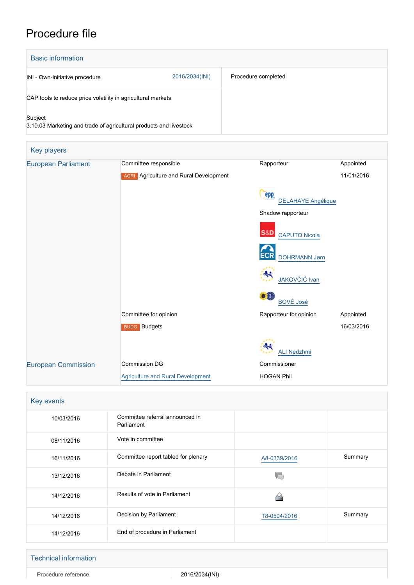# Procedure file

| <b>Basic information</b>                                                      |                |                     |  |
|-------------------------------------------------------------------------------|----------------|---------------------|--|
| INI - Own-initiative procedure                                                | 2016/2034(INI) | Procedure completed |  |
| CAP tools to reduce price volatility in agricultural markets                  |                |                     |  |
| Subject<br>3.10.03 Marketing and trade of agricultural products and livestock |                |                     |  |

| Key players                |                                               |                                        |            |
|----------------------------|-----------------------------------------------|----------------------------------------|------------|
| <b>European Parliament</b> | Committee responsible                         | Rapporteur                             | Appointed  |
|                            | <b>AGRI</b> Agriculture and Rural Development |                                        | 11/01/2016 |
|                            |                                               | epp<br><b>DELAHAYE Angélique</b>       |            |
|                            |                                               | Shadow rapporteur                      |            |
|                            |                                               | <b>S&amp;D</b><br><b>CAPUTO Nicola</b> |            |
|                            |                                               | <b>ECR</b><br><b>DOHRMANN Jørn</b>     |            |
|                            |                                               | JAKOVČIĆ Ivan                          |            |
|                            |                                               | <b>BOVÉ José</b>                       |            |
|                            | Committee for opinion                         | Rapporteur for opinion                 | Appointed  |
|                            | <b>BUDG</b> Budgets                           |                                        | 16/03/2016 |
|                            |                                               | <b>ALI Nedzhmi</b>                     |            |
| <b>European Commission</b> | <b>Commission DG</b>                          | Commissioner                           |            |
|                            | <b>Agriculture and Rural Development</b>      | <b>HOGAN Phil</b>                      |            |

| Key events |                                               |              |         |  |
|------------|-----------------------------------------------|--------------|---------|--|
| 10/03/2016 | Committee referral announced in<br>Parliament |              |         |  |
| 08/11/2016 | Vote in committee                             |              |         |  |
| 16/11/2016 | Committee report tabled for plenary           | A8-0339/2016 | Summary |  |
| 13/12/2016 | Debate in Parliament                          |              |         |  |
| 14/12/2016 | Results of vote in Parliament                 |              |         |  |
| 14/12/2016 | Decision by Parliament                        | T8-0504/2016 | Summary |  |
| 14/12/2016 | End of procedure in Parliament                |              |         |  |

#### Technical information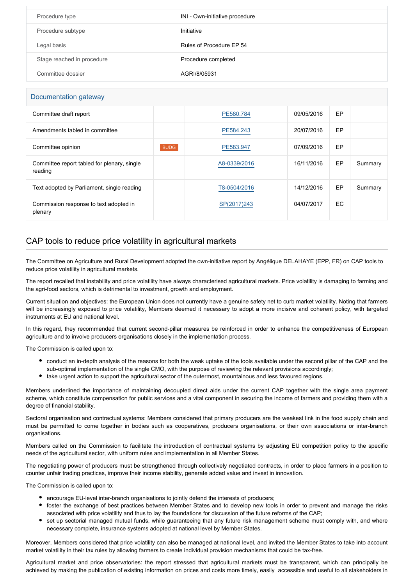| Procedure type             | INI - Own-initiative procedure |
|----------------------------|--------------------------------|
| Procedure subtype          | Initiative                     |
| Legal basis                | Rules of Procedure EP 54       |
| Stage reached in procedure | Procedure completed            |
| Committee dossier          | AGRI/8/05931                   |

#### Documentation gateway

| Committee draft report                                 |             | PE580.784    | 09/05/2016 | EP |         |
|--------------------------------------------------------|-------------|--------------|------------|----|---------|
| Amendments tabled in committee                         |             | PE584.243    | 20/07/2016 | EP |         |
| Committee opinion                                      | <b>BUDG</b> | PE583.947    | 07/09/2016 | EP |         |
| Committee report tabled for plenary, single<br>reading |             | A8-0339/2016 | 16/11/2016 | EP | Summary |
| Text adopted by Parliament, single reading             |             | T8-0504/2016 | 14/12/2016 | EP | Summary |
| Commission response to text adopted in<br>plenary      |             | SP(2017)243  | 04/07/2017 | EC |         |

### CAP tools to reduce price volatility in agricultural markets

The Committee on Agriculture and Rural Development adopted the own-initiative report by Angélique DELAHAYE (EPP, FR) on CAP tools to reduce price volatility in agricultural markets.

The report recalled that instability and price volatility have always characterised agricultural markets. Price volatility is damaging to farming and the agri-food sectors, which is detrimental to investment, growth and employment.

Current situation and objectives: the European Union does not currently have a genuine safety net to curb market volatility. Noting that farmers will be increasingly exposed to price volatility, Members deemed it necessary to adopt a more incisive and coherent policy, with targeted instruments at EU and national level.

In this regard, they recommended that current second-pillar measures be reinforced in order to enhance the competitiveness of European agriculture and to involve producers organisations closely in the implementation process.

The Commission is called upon to:

- conduct an in-depth analysis of the reasons for both the weak uptake of the tools available under the second pillar of the CAP and the sub-optimal implementation of the single CMO, with the purpose of reviewing the relevant provisions accordingly;
- take urgent action to support the agricultural sector of the outermost, mountainous and less favoured regions.

Members underlined the importance of maintaining decoupled direct aids under the current CAP together with the single area payment scheme, which constitute compensation for public services and a vital component in securing the income of farmers and providing them with a degree of financial stability.

Sectoral organisation and contractual systems: Members considered that primary producers are the weakest link in the food supply chain and must be permitted to come together in bodies such as cooperatives, producers organisations, or their own associations or inter-branch organisations.

Members called on the Commission to facilitate the introduction of contractual systems by adjusting EU competition policy to the specific needs of the agricultural sector, with uniform rules and implementation in all Member States.

The negotiating power of producers must be strengthened through collectively negotiated contracts, in order to place farmers in a position to counter unfair trading practices, improve their income stability, generate added value and invest in innovation.

The Commission is called upon to:

- encourage EU-level inter-branch organisations to jointly defend the interests of producers;
- foster the exchange of best practices between Member States and to develop new tools in order to prevent and manage the risks associated with price volatility and thus to lay the foundations for discussion of the future reforms of the CAP;
- set up sectorial managed mutual funds, while guaranteeing that any future risk management scheme must comply with, and where necessary complete, insurance systems adopted at national level by Member States.

Moreover, Members considered that price volatility can also be managed at national level, and invited the Member States to take into account market volatility in their tax rules by allowing farmers to create individual provision mechanisms that could be tax-free.

Agricultural market and price observatories: the report stressed that agricultural markets must be transparent, which can principally be achieved by making the publication of existing information on prices and costs more timely, easily accessible and useful to all stakeholders in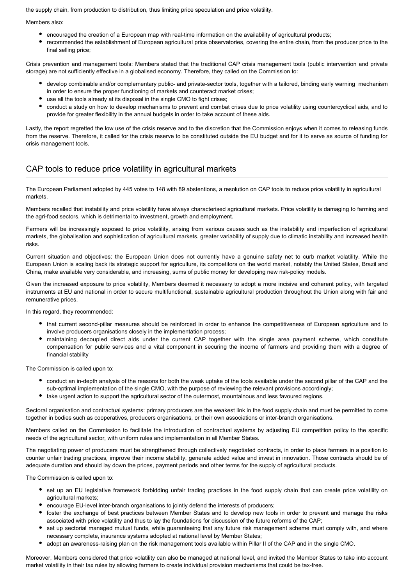the supply chain, from production to distribution, thus limiting price speculation and price volatility.

Members also:

- encouraged the creation of a European map with real-time information on the availability of agricultural products;
- recommended the establishment of European agricultural price observatories, covering the entire chain, from the producer price to the final selling price;

Crisis prevention and management tools: Members stated that the traditional CAP crisis management tools (public intervention and private storage) are not sufficiently effective in a globalised economy. Therefore, they called on the Commission to:

- develop combinable and/or complementary public- and private-sector tools, together with a tailored, binding early warning mechanism in order to ensure the proper functioning of markets and counteract market crises;
- use all the tools already at its disposal in the single CMO to fight crises;
- conduct a study on how to develop mechanisms to prevent and combat crises due to price volatility using countercyclical aids, and to provide for greater flexibility in the annual budgets in order to take account of these aids.

Lastly, the report regretted the low use of the crisis reserve and to the discretion that the Commission enjoys when it comes to releasing funds from the reserve. Therefore, it called for the crisis reserve to be constituted outside the EU budget and for it to serve as source of funding for crisis management tools.

## CAP tools to reduce price volatility in agricultural markets

The European Parliament adopted by 445 votes to 148 with 89 abstentions, a resolution on CAP tools to reduce price volatility in agricultural markets.

Members recalled that instability and price volatility have always characterised agricultural markets. Price volatility is damaging to farming and the agri-food sectors, which is detrimental to investment, growth and employment.

Farmers will be increasingly exposed to price volatility, arising from various causes such as the instability and imperfection of agricultural markets, the globalisation and sophistication of agricultural markets, greater variability of supply due to climatic instability and increased health risks.

Current situation and objectives: the European Union does not currently have a genuine safety net to curb market volatility. While the European Union is scaling back its strategic support for agriculture, its competitors on the world market, notably the United States, Brazil and China, make available very considerable, and increasing, sums of public money for developing new risk-policy models.

Given the increased exposure to price volatility, Members deemed it necessary to adopt a more incisive and coherent policy, with targeted instruments at EU and national in order to secure multifunctional, sustainable agricultural production throughout the Union along with fair and remunerative prices.

In this regard, they recommended:

- that current second-pillar measures should be reinforced in order to enhance the competitiveness of European agriculture and to involve producers organisations closely in the implementation process:
- maintaining decoupled direct aids under the current CAP together with the single area payment scheme, which constitute compensation for public services and a vital component in securing the income of farmers and providing them with a degree of financial stability

The Commission is called upon to:

- conduct an in-depth analysis of the reasons for both the weak uptake of the tools available under the second pillar of the CAP and the sub-optimal implementation of the single CMO, with the purpose of reviewing the relevant provisions accordingly;
- take urgent action to support the agricultural sector of the outermost, mountainous and less favoured regions.

Sectoral organisation and contractual systems: primary producers are the weakest link in the food supply chain and must be permitted to come together in bodies such as cooperatives, producers organisations, or their own associations or inter-branch organisations.

Members called on the Commission to facilitate the introduction of contractual systems by adjusting EU competition policy to the specific needs of the agricultural sector, with uniform rules and implementation in all Member States.

The negotiating power of producers must be strengthened through collectively negotiated contracts, in order to place farmers in a position to counter unfair trading practices, improve their income stability, generate added value and invest in innovation. Those contracts should be of adequate duration and should lay down the prices, payment periods and other terms for the supply of agricultural products.

The Commission is called upon to:

- set up an EU legislative framework forbidding unfair trading practices in the food supply chain that can create price volatility on agricultural markets;
- encourage EU-level inter-branch organisations to jointly defend the interests of producers;
- foster the exchange of best practices between Member States and to develop new tools in order to prevent and manage the risks associated with price volatility and thus to lay the foundations for discussion of the future reforms of the CAP;
- set up sectorial managed mutual funds, while guaranteeing that any future risk management scheme must comply with, and where necessary complete, insurance systems adopted at national level by Member States;
- adopt an awareness-raising plan on the risk management tools available within Pillar II of the CAP and in the single CMO.

Moreover, Members considered that price volatility can also be managed at national level, and invited the Member States to take into account market volatility in their tax rules by allowing farmers to create individual provision mechanisms that could be tax-free.